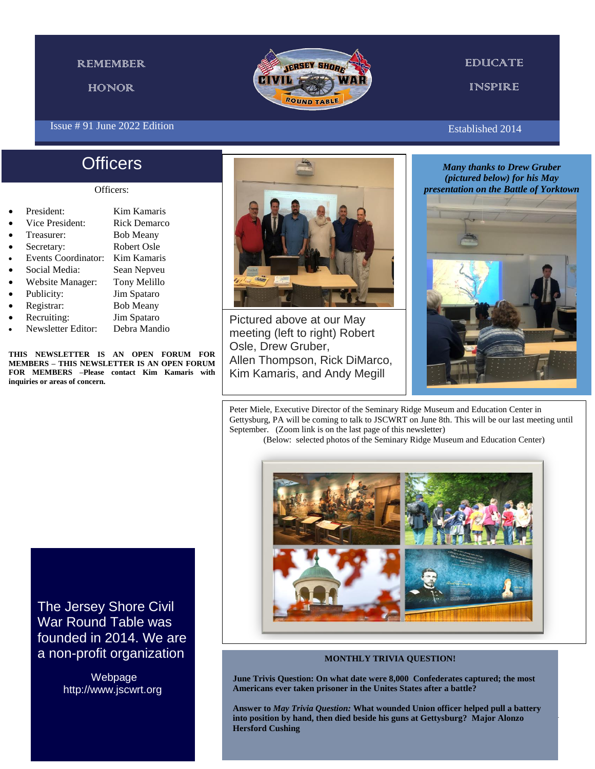### **REMEMBER**

HONOR

### Issue # 91 June 2022 Edition

# **Officers**

### Officers:

- President: Kim Kamaris
- Vice President: Rick Demarco
- Treasurer: Bob Meany
- Secretary: Robert Osle
- Events Coordinator: Kim Kamaris
- Social Media: Sean Nepveu
- Website Manager: Tony Melillo
- Publicity: Jim Spataro
- 
- Registrar: Bob Meany
- Recruiting: Jim Spataro
- Newsletter Editor: Debra Mandio

**THIS NEWSLETTER IS AN OPEN FORUM FOR MEMBERS – THIS NEWSLETTER IS AN OPEN FORUM FOR MEMBERS –Please contact Kim Kamaris with inquiries or areas of concern.**

## Pictured above at our May meeting (left to right) Robert Osle, Drew Gruber, Allen Thompson, Rick DiMarco, Kim Kamaris, and Andy Megill

Established 2014

*Many thanks to Drew Gruber (pictured below) for his May presentation on the Battle of Yorktown*



1

Peter Miele, Executive Director of the Seminary Ridge Museum and Education Center in Gettysburg, PA will be coming to talk to JSCWRT on June 8th. This will be our last meeting until September. (Zoom link is on the last page of this newsletter)

(Below: selected photos of the Seminary Ridge Museum and Education Center)



### **MONTHLY TRIVIA QUESTION!**

**June Trivis Question: On what date were 8,000 Confederates captured; the most Americans ever taken prisoner in the Unites States after a battle?**

**Answer to** *May Trivia Question:* **What wounded Union officer helped pull a battery into position by hand, then died beside his guns at Gettysburg? Major Alonzo Hersford Cushing**

The Jersey Shore Civil War Round Table was founded in 2014. We are a non-profit organization

> Webpage http://www.jscwrt.org

### **EDUCATE**

INSPIRE

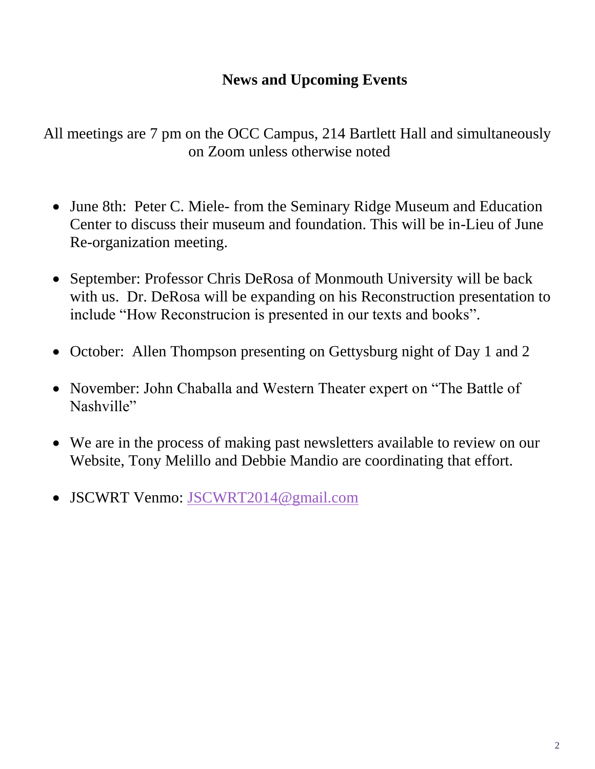## **News and Upcoming Events**

All meetings are 7 pm on the OCC Campus, 214 Bartlett Hall and simultaneously on Zoom unless otherwise noted

- June 8th: Peter C. Miele- from the Seminary Ridge Museum and Education Center to discuss their museum and foundation. This will be in-Lieu of June Re-organization meeting.
- September: Professor Chris DeRosa of Monmouth University will be back with us. Dr. DeRosa will be expanding on his Reconstruction presentation to include "How Reconstrucion is presented in our texts and books".
- October: Allen Thompson presenting on Gettysburg night of Day 1 and 2
- November: John Chaballa and Western Theater expert on "The Battle of Nashville"
- We are in the process of making past newsletters available to review on our Website, Tony Melillo and Debbie Mandio are coordinating that effort.
- JSCWRT Venmo: [JSCWRT2014@gmail.com](mailto:JSCWRT2014@gmail.com)